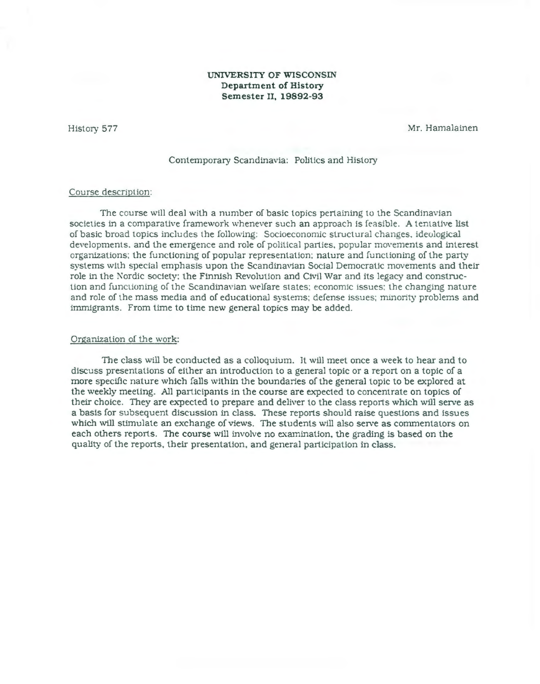# **UNIVERSITY OF WISCONSIN Department of History Semester II, 19892-93**

History 577

Mr. Hamalainen

### Contemporary Scandinavia: Politics and History

### Course description:

The course will deal with a number of basic topics pertaining to the Scandinavian societies in a comparative framework whenever such an approach is feasible. A tentative list of basic broad topics includes the following: Socioeconomic structural changes. ideological developments, and the emergence and role of political parties, popular movements and interest organizations: the functioning of popular representation: nature and functioning of the party systems with special emphasis upon the Scandinavian Social Democratic movements and their role in the Nordic society: the Finnish Revolution and Civil War and its legacy and construction and funclioning of the Scandinavian \velfare states: economic issues: the changing nature and role of the mass media and of educational systems: defense issues; minority problems and immigrants. From time to time new general topics may be added.

#### Organization of the work:

The class will be conducted as a colloquium. It will meet once a week to hear and to discuss presentations of either an introduction to a general topic or a report on a topic of a more specific nature which falls within the boundaries of the general topic to be explored at the weekly meeting. All participants in the course are expected to concentrate on topics of their choice. They are expected to prepare and deliver to the class reports which will serve as a basis for subsequent discussion in class. These reports should raise questions and issues which will stimulate an exchange of views. The students will also serve as commentators on each others reports. The course will involve no examination, the grading is based on the quality of the reports, their presentation, and general participation in class.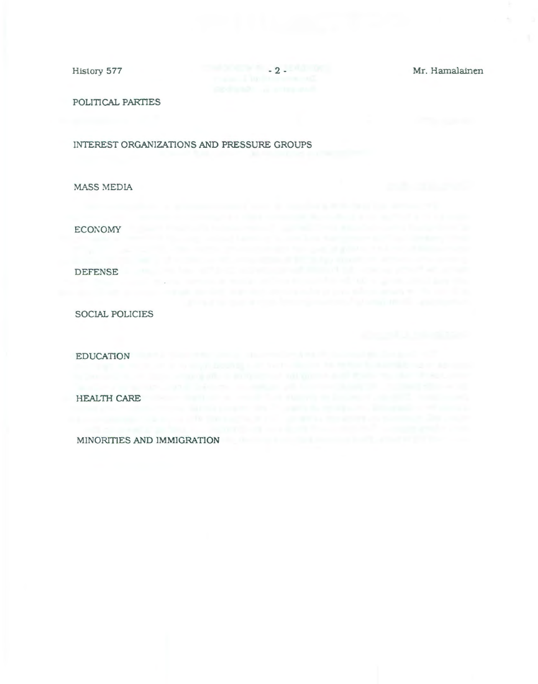History 577 - 2 - Mr. Hamalainen

and the process company and the process of the off-state and company of the

POLITICAL PARTIES

INTEREST ORGANIZATIONS AND PRESSURE GROUPS

MASS MEDIA

ECONOMY

DEFENSE

SOCIAL POLICIES

EDUCATION

HEALTH CARE

MINORITIES AND IMMIGRATION